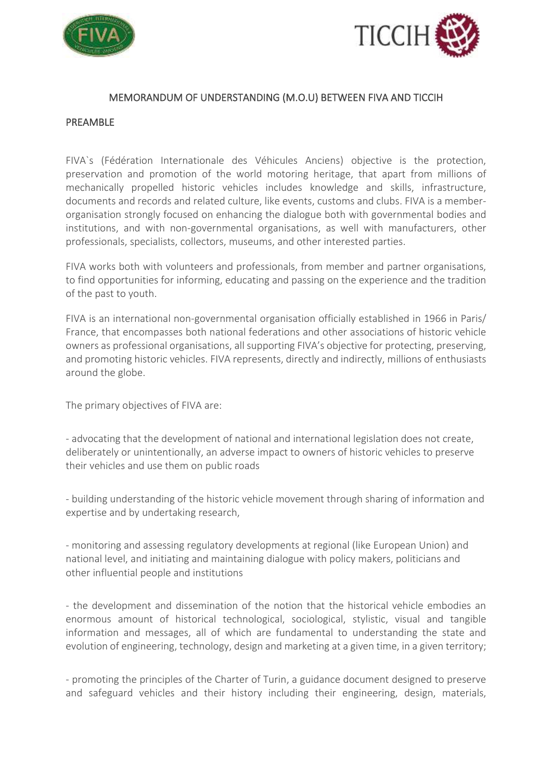



#### MEMORANDUM OF UNDERSTANDING (M.O.U) BETWEEN FIVA AND TICCIH

#### PREAMBLE

FIVA`s (Fédération Internationale des Véhicules Anciens) objective is the protection, preservation and promotion of the world motoring heritage, that apart from millions of mechanically propelled historic vehicles includes knowledge and skills, infrastructure, documents and records and related culture, like events, customs and clubs. FIVA is a memberorganisation strongly focused on enhancing the dialogue both with governmental bodies and institutions, and with non-governmental organisations, as well with manufacturers, other professionals, specialists, collectors, museums, and other interested parties.

FIVA works both with volunteers and professionals, from member and partner organisations, to find opportunities for informing, educating and passing on the experience and the tradition of the past to youth.

FIVA is an international non-governmental organisation officially established in 1966 in Paris/ France, that encompasses both national federations and other associations of historic vehicle owners as professional organisations, all supporting FIVA's objective for protecting, preserving, and promoting historic vehicles. FIVA represents, directly and indirectly, millions of enthusiasts around the globe.

The primary objectives of FIVA are:

- advocating that the development of national and international legislation does not create, deliberately or unintentionally, an adverse impact to owners of historic vehicles to preserve their vehicles and use them on public roads

- building understanding of the historic vehicle movement through sharing of information and expertise and by undertaking research,

- monitoring and assessing regulatory developments at regional (like European Union) and national level, and initiating and maintaining dialogue with policy makers, politicians and other influential people and institutions

- the development and dissemination of the notion that the historical vehicle embodies an enormous amount of historical technological, sociological, stylistic, visual and tangible information and messages, all of which are fundamental to understanding the state and evolution of engineering, technology, design and marketing at a given time, in a given territory;

- promoting the principles of the Charter of Turin, a guidance document designed to preserve and safeguard vehicles and their history including their engineering, design, materials,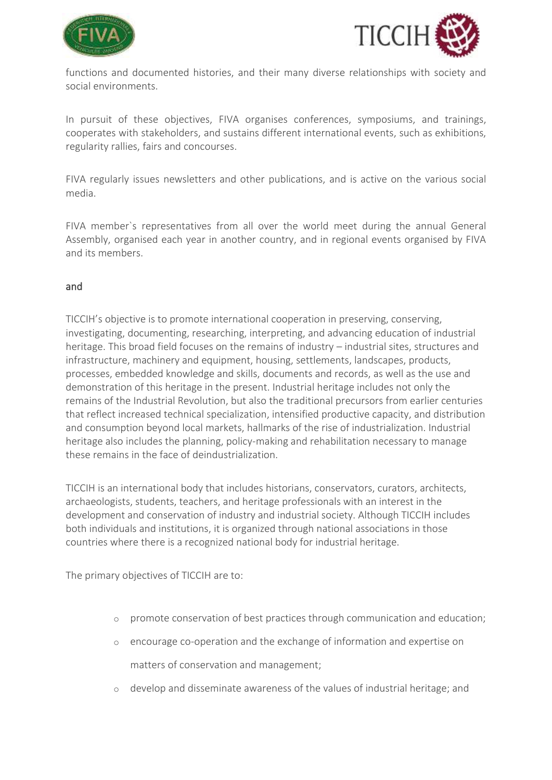



functions and documented histories, and their many diverse relationships with society and social environments.

In pursuit of these objectives, FIVA organises conferences, symposiums, and trainings, cooperates with stakeholders, and sustains different international events, such as exhibitions, regularity rallies, fairs and concourses.

FIVA regularly issues newsletters and other publications, and is active on the various social media.

FIVA member`s representatives from all over the world meet during the annual General Assembly, organised each year in another country, and in regional events organised by FIVA and its members.

### and

TICCIH's objective is to promote international cooperation in preserving, conserving, investigating, documenting, researching, interpreting, and advancing education of industrial heritage. This broad field focuses on the remains of industry – industrial sites, structures and infrastructure, machinery and equipment, housing, settlements, landscapes, products, processes, embedded knowledge and skills, documents and records, as well as the use and demonstration of this heritage in the present. Industrial heritage includes not only the remains of the Industrial Revolution, but also the traditional precursors from earlier centuries that reflect increased technical specialization, intensified productive capacity, and distribution and consumption beyond local markets, hallmarks of the rise of industrialization. Industrial heritage also includes the planning, policy-making and rehabilitation necessary to manage these remains in the face of deindustrialization.

TICCIH is an international body that includes historians, conservators, curators, architects, archaeologists, students, teachers, and heritage professionals with an interest in the development and conservation of industry and industrial society. Although TICCIH includes both individuals and institutions, it is organized through national associations in those countries where there is a recognized national body for industrial heritage.

The primary objectives of TICCIH are to:

- o promote conservation of best practices through communication and education;
- o encourage co-operation and the exchange of information and expertise on matters of conservation and management;
- o develop and disseminate awareness of the values of industrial heritage; and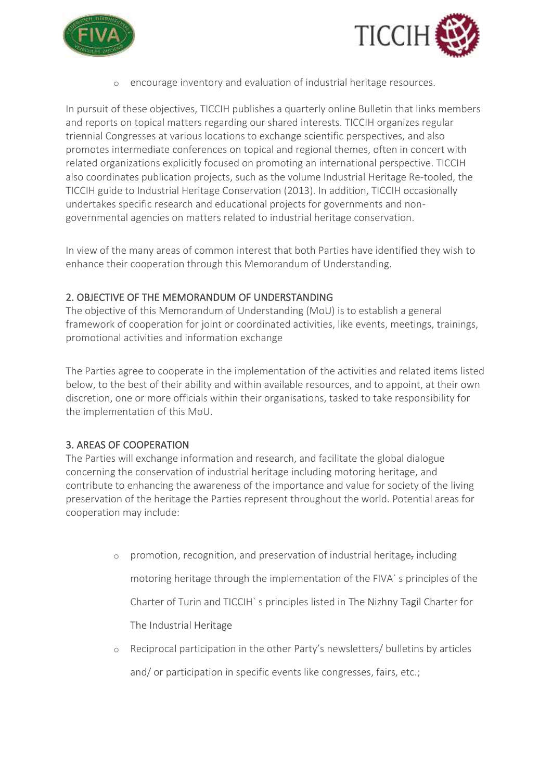



o encourage inventory and evaluation of industrial heritage resources.

In pursuit of these objectives, TICCIH publishes a quarterly online Bulletin that links members and reports on topical matters regarding our shared interests. TICCIH organizes regular triennial Congresses at various locations to exchange scientific perspectives, and also promotes intermediate conferences on topical and regional themes, often in concert with related organizations explicitly focused on promoting an international perspective. TICCIH also coordinates publication projects, such as the volume Industrial Heritage Re-tooled, the TICCIH guide to Industrial Heritage Conservation (2013). In addition, TICCIH occasionally undertakes specific research and educational projects for governments and nongovernmental agencies on matters related to industrial heritage conservation.

In view of the many areas of common interest that both Parties have identified they wish to enhance their cooperation through this Memorandum of Understanding.

### 2. OBJECTIVE OF THE MEMORANDUM OF UNDERSTANDING

The objective of this Memorandum of Understanding (MoU) is to establish a general framework of cooperation for joint or coordinated activities, like events, meetings, trainings, promotional activities and information exchange

The Parties agree to cooperate in the implementation of the activities and related items listed below, to the best of their ability and within available resources, and to appoint, at their own discretion, one or more officials within their organisations, tasked to take responsibility for the implementation of this MoU.

## 3. AREAS OF COOPERATION

The Parties will exchange information and research, and facilitate the global dialogue concerning the conservation of industrial heritage including motoring heritage, and contribute to enhancing the awareness of the importance and value for society of the living preservation of the heritage the Parties represent throughout the world. Potential areas for cooperation may include:

- $\circ$  promotion, recognition, and preservation of industrial heritage, including motoring heritage through the implementation of the FIVA` s principles of the Charter of Turin and TICCIH` s principles listed in The Nizhny Tagil Charter for The Industrial Heritage
- o Reciprocal participation in the other Party's newsletters/ bulletins by articles and/ or participation in specific events like congresses, fairs, etc.;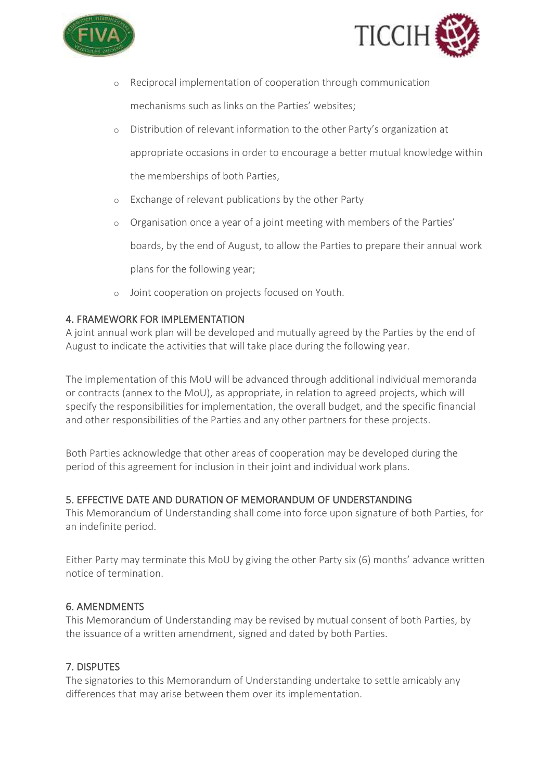



- o Reciprocal implementation of cooperation through communication mechanisms such as links on the Parties' websites;
- o Distribution of relevant information to the other Party's organization at appropriate occasions in order to encourage a better mutual knowledge within the memberships of both Parties,
- o Exchange of relevant publications by the other Party
- o Organisation once a year of a joint meeting with members of the Parties' boards, by the end of August, to allow the Parties to prepare their annual work plans for the following year;
- o Joint cooperation on projects focused on Youth.

## 4. FRAMEWORK FOR IMPLEMENTATION

A joint annual work plan will be developed and mutually agreed by the Parties by the end of August to indicate the activities that will take place during the following year.

The implementation of this MoU will be advanced through additional individual memoranda or contracts (annex to the MoU), as appropriate, in relation to agreed projects, which will specify the responsibilities for implementation, the overall budget, and the specific financial and other responsibilities of the Parties and any other partners for these projects.

Both Parties acknowledge that other areas of cooperation may be developed during the period of this agreement for inclusion in their joint and individual work plans.

### 5. EFFECTIVE DATE AND DURATION OF MEMORANDUM OF UNDERSTANDING

This Memorandum of Understanding shall come into force upon signature of both Parties, for an indefinite period.

Either Party may terminate this MoU by giving the other Party six (6) months' advance written notice of termination.

### 6. AMENDMENTS

This Memorandum of Understanding may be revised by mutual consent of both Parties, by the issuance of a written amendment, signed and dated by both Parties.

## 7. DISPUTES

The signatories to this Memorandum of Understanding undertake to settle amicably any differences that may arise between them over its implementation.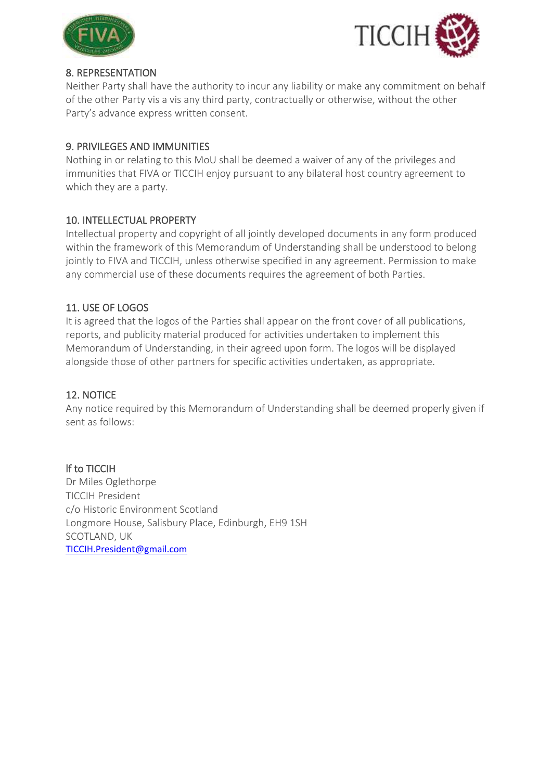



## 8. REPRESENTATION

Neither Party shall have the authority to incur any liability or make any commitment on behalf of the other Party vis a vis any third party, contractually or otherwise, without the other Party's advance express written consent.

## 9. PRIVILEGES AND IMMUNITIES

Nothing in or relating to this MoU shall be deemed a waiver of any of the privileges and immunities that FIVA or TICCIH enjoy pursuant to any bilateral host country agreement to which they are a party.

## 10. INTELLECTUAL PROPERTY

Intellectual property and copyright of all jointly developed documents in any form produced within the framework of this Memorandum of Understanding shall be understood to belong jointly to FIVA and TICCIH, unless otherwise specified in any agreement. Permission to make any commercial use of these documents requires the agreement of both Parties.

## 11. USE OF LOGOS

It is agreed that the logos of the Parties shall appear on the front cover of all publications, reports, and publicity material produced for activities undertaken to implement this Memorandum of Understanding, in their agreed upon form. The logos will be displayed alongside those of other partners for specific activities undertaken, as appropriate.

## 12. NOTICE

Any notice required by this Memorandum of Understanding shall be deemed properly given if sent as follows:

## lf to TICCIH

Dr Miles Oglethorpe TICCIH President c/o Historic Environment Scotland Longmore House, Salisbury Place, Edinburgh, EH9 1SH SCOTLAND, UK [TICCIH.President@gmail.com](mailto:TICCIH.President@gmail.com)